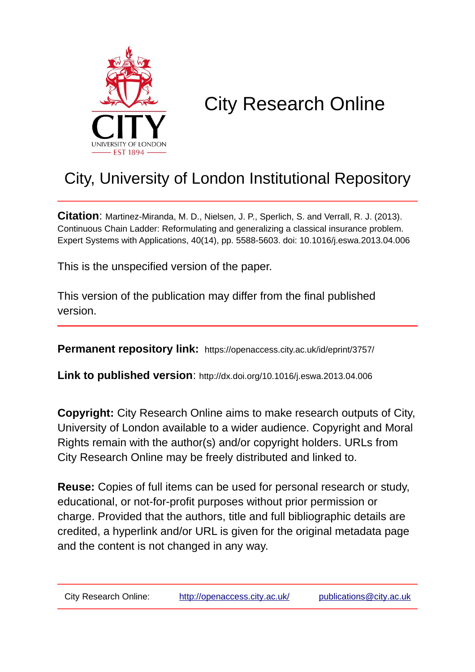

# City Research Online

# City, University of London Institutional Repository

**Citation**: Martinez-Miranda, M. D., Nielsen, J. P., Sperlich, S. and Verrall, R. J. (2013). Continuous Chain Ladder: Reformulating and generalizing a classical insurance problem. Expert Systems with Applications, 40(14), pp. 5588-5603. doi: 10.1016/j.eswa.2013.04.006

This is the unspecified version of the paper.

This version of the publication may differ from the final published version.

**Permanent repository link:** https://openaccess.city.ac.uk/id/eprint/3757/

**Link to published version**: http://dx.doi.org/10.1016/j.eswa.2013.04.006

**Copyright:** City Research Online aims to make research outputs of City, University of London available to a wider audience. Copyright and Moral Rights remain with the author(s) and/or copyright holders. URLs from City Research Online may be freely distributed and linked to.

**Reuse:** Copies of full items can be used for personal research or study, educational, or not-for-profit purposes without prior permission or charge. Provided that the authors, title and full bibliographic details are credited, a hyperlink and/or URL is given for the original metadata page and the content is not changed in any way.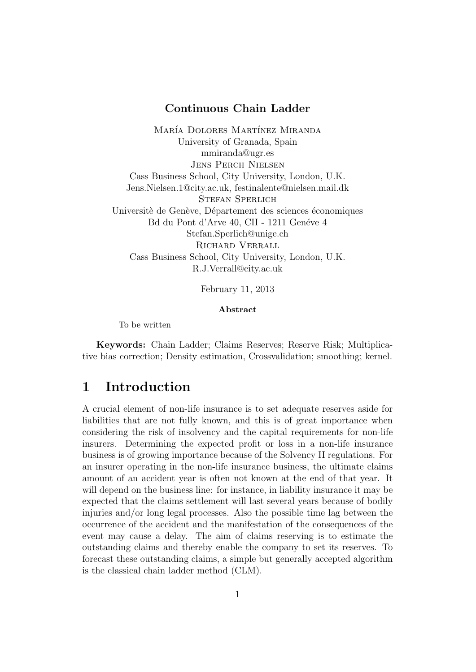#### Continuous Chain Ladder

MARÍA DOLORES MARTÍNEZ MIRANDA University of Granada, Spain mmiranda@ugr.es JENS PERCH NIELSEN Cass Business School, City University, London, U.K. Jens.Nielsen.1@city.ac.uk, festinalente@nielsen.mail.dk Stefan Sperlich Universitè de Genève, Département des sciences économiques Bd du Pont d'Arve 40, CH - 1211 Genéve 4 Stefan.Sperlich@unige.ch Richard Verrall Cass Business School, City University, London, U.K. R.J.Verrall@city.ac.uk

February 11, 2013

#### Abstract

To be written

Keywords: Chain Ladder; Claims Reserves; Reserve Risk; Multiplicative bias correction; Density estimation, Crossvalidation; smoothing; kernel.

## 1 Introduction

A crucial element of non-life insurance is to set adequate reserves aside for liabilities that are not fully known, and this is of great importance when considering the risk of insolvency and the capital requirements for non-life insurers. Determining the expected profit or loss in a non-life insurance business is of growing importance because of the Solvency II regulations. For an insurer operating in the non-life insurance business, the ultimate claims amount of an accident year is often not known at the end of that year. It will depend on the business line: for instance, in liability insurance it may be expected that the claims settlement will last several years because of bodily injuries and/or long legal processes. Also the possible time lag between the occurrence of the accident and the manifestation of the consequences of the event may cause a delay. The aim of claims reserving is to estimate the outstanding claims and thereby enable the company to set its reserves. To forecast these outstanding claims, a simple but generally accepted algorithm is the classical chain ladder method (CLM).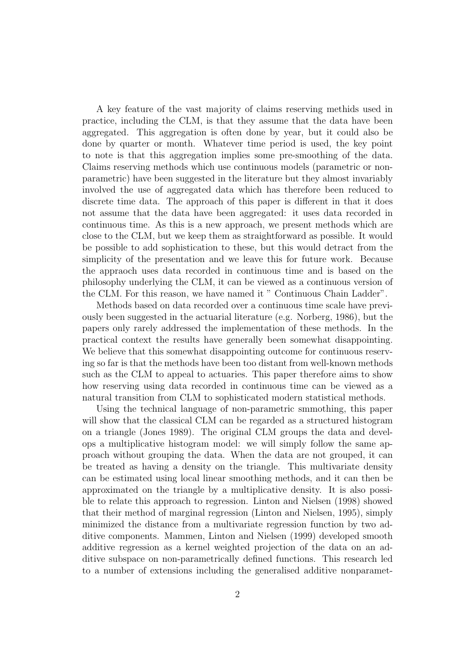A key feature of the vast majority of claims reserving methids used in practice, including the CLM, is that they assume that the data have been aggregated. This aggregation is often done by year, but it could also be done by quarter or month. Whatever time period is used, the key point to note is that this aggregation implies some pre-smoothing of the data. Claims reserving methods which use continuous models (parametric or nonparametric) have been suggested in the literature but they almost invariably involved the use of aggregated data which has therefore been reduced to discrete time data. The approach of this paper is different in that it does not assume that the data have been aggregated: it uses data recorded in continuous time. As this is a new approach, we present methods which are close to the CLM, but we keep them as straightforward as possible. It would be possible to add sophistication to these, but this would detract from the simplicity of the presentation and we leave this for future work. Because the appraoch uses data recorded in continuous time and is based on the philosophy underlying the CLM, it can be viewed as a continuous version of the CLM. For this reason, we have named it " Continuous Chain Ladder".

Methods based on data recorded over a continuous time scale have previously been suggested in the actuarial literature (e.g. Norberg, 1986), but the papers only rarely addressed the implementation of these methods. In the practical context the results have generally been somewhat disappointing. We believe that this somewhat disappointing outcome for continuous reserving so far is that the methods have been too distant from well-known methods such as the CLM to appeal to actuaries. This paper therefore aims to show how reserving using data recorded in continuous time can be viewed as a natural transition from CLM to sophisticated modern statistical methods.

Using the technical language of non-parametric smmothing, this paper will show that the classical CLM can be regarded as a structured histogram on a triangle (Jones 1989). The original CLM groups the data and develops a multiplicative histogram model: we will simply follow the same approach without grouping the data. When the data are not grouped, it can be treated as having a density on the triangle. This multivariate density can be estimated using local linear smoothing methods, and it can then be approximated on the triangle by a multiplicative density. It is also possible to relate this approach to regression. Linton and Nielsen (1998) showed that their method of marginal regression (Linton and Nielsen, 1995), simply minimized the distance from a multivariate regression function by two additive components. Mammen, Linton and Nielsen (1999) developed smooth additive regression as a kernel weighted projection of the data on an additive subspace on non-parametrically defined functions. This research led to a number of extensions including the generalised additive nonparamet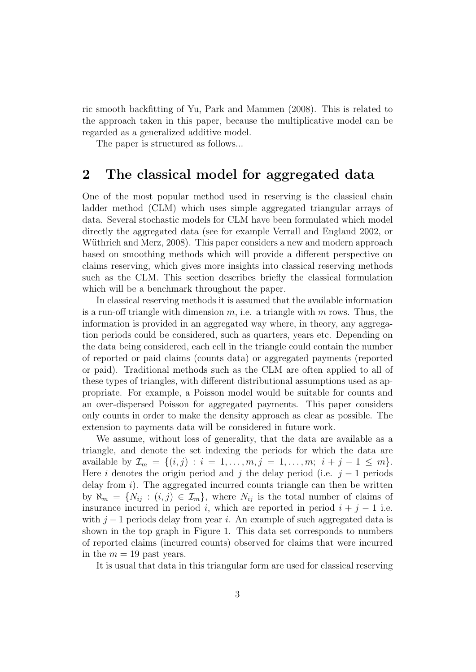ric smooth backfitting of Yu, Park and Mammen (2008). This is related to the approach taken in this paper, because the multiplicative model can be regarded as a generalized additive model.

The paper is structured as follows...

## 2 The classical model for aggregated data

One of the most popular method used in reserving is the classical chain ladder method (CLM) which uses simple aggregated triangular arrays of data. Several stochastic models for CLM have been formulated which model directly the aggregated data (see for example Verrall and England 2002, or Wüthrich and Merz, 2008). This paper considers a new and modern approach based on smoothing methods which will provide a different perspective on claims reserving, which gives more insights into classical reserving methods such as the CLM. This section describes briefly the classical formulation which will be a benchmark throughout the paper.

In classical reserving methods it is assumed that the available information is a run-off triangle with dimension  $m$ , i.e. a triangle with  $m$  rows. Thus, the information is provided in an aggregated way where, in theory, any aggregation periods could be considered, such as quarters, years etc. Depending on the data being considered, each cell in the triangle could contain the number of reported or paid claims (counts data) or aggregated payments (reported or paid). Traditional methods such as the CLM are often applied to all of these types of triangles, with different distributional assumptions used as appropriate. For example, a Poisson model would be suitable for counts and an over-dispersed Poisson for aggregated payments. This paper considers only counts in order to make the density approach as clear as possible. The extension to payments data will be considered in future work.

We assume, without loss of generality, that the data are available as a triangle, and denote the set indexing the periods for which the data are available by  $\mathcal{I}_m = \{(i, j) : i = 1, \ldots, m, j = 1, \ldots, m; i + j - 1 \leq m\}.$ Here i denotes the origin period and j the delay period (i.e.  $j-1$  periods delay from  $i$ ). The aggregated incurred counts triangle can then be written by  $\aleph_m = \{N_{ij} : (i,j) \in \mathcal{I}_m\}$ , where  $N_{ij}$  is the total number of claims of insurance incurred in period i, which are reported in period  $i + j - 1$  i.e. with  $j-1$  periods delay from year i. An example of such aggregated data is shown in the top graph in Figure 1. This data set corresponds to numbers of reported claims (incurred counts) observed for claims that were incurred in the  $m = 19$  past years.

It is usual that data in this triangular form are used for classical reserving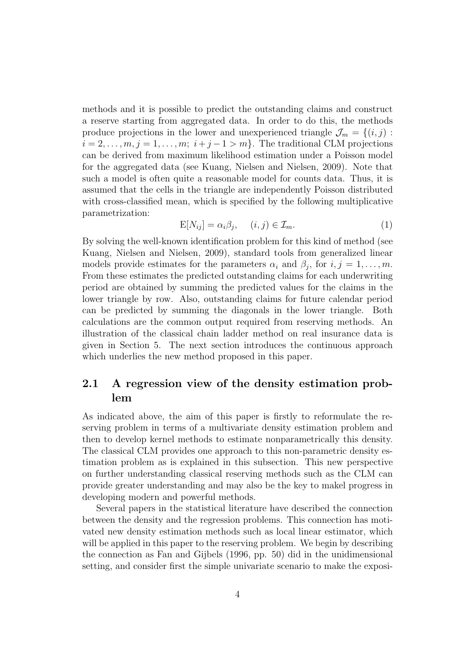methods and it is possible to predict the outstanding claims and construct a reserve starting from aggregated data. In order to do this, the methods produce projections in the lower and unexperienced triangle  $\mathcal{J}_m = \{(i, j) :$  $i = 2, \ldots, m, j = 1, \ldots, m; i + j - 1 > m$ . The traditional CLM projections can be derived from maximum likelihood estimation under a Poisson model for the aggregated data (see Kuang, Nielsen and Nielsen, 2009). Note that such a model is often quite a reasonable model for counts data. Thus, it is assumed that the cells in the triangle are independently Poisson distributed with cross-classified mean, which is specified by the following multiplicative parametrization:

$$
E[N_{ij}] = \alpha_i \beta_j, \quad (i, j) \in \mathcal{I}_m.
$$
 (1)

By solving the well-known identification problem for this kind of method (see Kuang, Nielsen and Nielsen, 2009), standard tools from generalized linear models provide estimates for the parameters  $\alpha_i$  and  $\beta_j$ , for  $i, j = 1, \ldots, m$ . From these estimates the predicted outstanding claims for each underwriting period are obtained by summing the predicted values for the claims in the lower triangle by row. Also, outstanding claims for future calendar period can be predicted by summing the diagonals in the lower triangle. Both calculations are the common output required from reserving methods. An illustration of the classical chain ladder method on real insurance data is given in Section 5. The next section introduces the continuous approach which underlies the new method proposed in this paper.

### 2.1 A regression view of the density estimation problem

As indicated above, the aim of this paper is firstly to reformulate the reserving problem in terms of a multivariate density estimation problem and then to develop kernel methods to estimate nonparametrically this density. The classical CLM provides one approach to this non-parametric density estimation problem as is explained in this subsection. This new perspective on further understanding classical reserving methods such as the CLM can provide greater understanding and may also be the key to makel progress in developing modern and powerful methods.

Several papers in the statistical literature have described the connection between the density and the regression problems. This connection has motivated new density estimation methods such as local linear estimator, which will be applied in this paper to the reserving problem. We begin by describing the connection as Fan and Gijbels (1996, pp. 50) did in the unidimensional setting, and consider first the simple univariate scenario to make the exposi-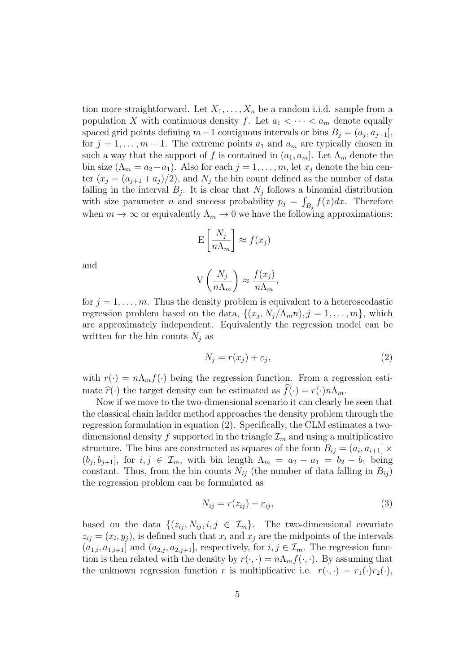tion more straightforward. Let  $X_1, \ldots, X_n$  be a random i.i.d. sample from a population X with continuous density f. Let  $a_1 < \cdots < a_m$  denote equally spaced grid points defining  $m-1$  contiguous intervals or bins  $B_j = (a_j, a_{j+1}],$ for  $j = 1, \ldots, m - 1$ . The extreme points  $a_1$  and  $a_m$  are typically chosen in such a way that the support of f is contained in  $(a_1, a_m]$ . Let  $\Lambda_m$  denote the bin size  $(\Lambda_m = a_2 - a_1)$ . Also for each  $j = 1, \ldots, m$ , let  $x_j$  denote the bin center  $(x_i = (a_{i+1} + a_i)/2)$ , and  $N_i$  the bin count defined as the number of data falling in the interval  $B_j$ . It is clear that  $N_j$  follows a binomial distribution with size parameter *n* and success probability  $p_j = \int_{B_j} f(x) dx$ . Therefore when  $m \to \infty$  or equivalently  $\Lambda_m \to 0$  we have the following approximations:

$$
\mathcal{E}\left[\frac{N_j}{n\Lambda_m}\right] \approx f(x_j)
$$

and

$$
V\left(\frac{N_j}{n\Lambda_m}\right) \approx \frac{f(x_j)}{n\Lambda_m},
$$

for  $j = 1, \ldots, m$ . Thus the density problem is equivalent to a heteroscedastic regression problem based on the data,  $\{(x_j, N_j/\Lambda_m n), j = 1, \ldots, m\}$ , which are approximately independent. Equivalently the regression model can be written for the bin counts  $N_i$  as

$$
N_j = r(x_j) + \varepsilon_j,\tag{2}
$$

with  $r(\cdot) = n \Lambda_m f(\cdot)$  being the regression function. From a regression estimate  $\hat{r}(\cdot)$  the target density can be estimated as  $f(\cdot) = r(\cdot)n\Lambda_m$ .

Now if we move to the two-dimensional scenario it can clearly be seen that the classical chain ladder method approaches the density problem through the regression formulation in equation (2). Specifically, the CLM estimates a twodimensional density f supported in the triangle  $\mathcal{I}_m$  and using a multiplicative structure. The bins are constructed as squares of the form  $B_{ij} = (a_i, a_{i+1}] \times$  $(b_j, b_{j+1}]$ , for  $i, j \in \mathcal{I}_m$ , with bin length  $\Lambda_m = a_2 - a_1 = b_2 - b_1$  being constant. Thus, from the bin counts  $N_{ij}$  (the number of data falling in  $B_{ij}$ ) the regression problem can be formulated as

$$
N_{ij} = r(z_{ij}) + \varepsilon_{ij},\tag{3}
$$

based on the data  $\{(z_{ij}, N_{ij}, i, j \in \mathcal{I}_m\})$ . The two-dimensional covariate  $z_{ij} = (x_i, y_j)$ , is defined such that  $x_i$  and  $x_j$  are the midpoints of the intervals  $(a_{1,i}, a_{1,i+1}]$  and  $(a_{2,i}, a_{2,i+1}]$ , respectively, for  $i, j \in \mathcal{I}_m$ . The regression function is then related with the density by  $r(\cdot, \cdot) = n\Lambda_m f(\cdot, \cdot)$ . By assuming that the unknown regression function r is multiplicative i.e.  $r(\cdot, \cdot) = r_1(\cdot) r_2(\cdot)$ ,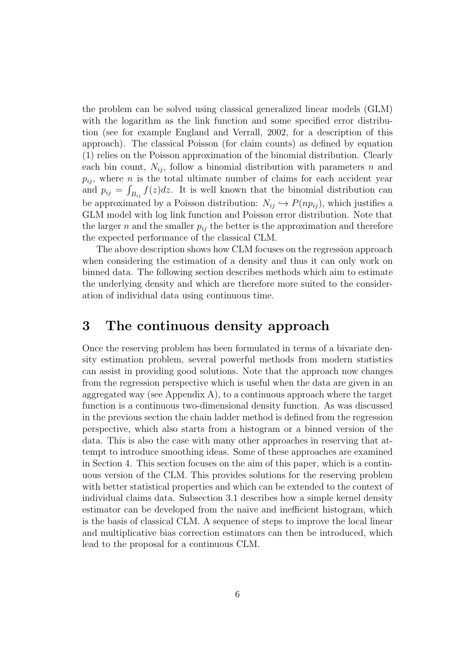the problem can be solved using classical generalized linear models (GLM) with the logarithm as the link function and some specified error distribution (see for example England and Verrall, 2002, for a description of this approach). The classical Poisson (for claim counts) as defined by equation (1) relies on the Poisson approximation of the binomial distribution. Clearly each bin count,  $N_{ij}$ , follow a binomial distribution with parameters n and  $p_{ij}$ , where *n* is the total ultimate number of claims for each accident year and  $p_{ij} = \int_{B_{ij}} f(z)dz$ . It is well known that the binomial distribution can be approximated by a Poisson distribution:  $N_{ij} \hookrightarrow P(np_{ij})$ , which justifies a GLM model with log link function and Poisson error distribution. Note that the larger n and the smaller  $p_{ij}$  the better is the approximation and therefore the expected performance of the classical CLM.

The above description shows how CLM focuses on the regression approach when considering the estimation of a density and thus it can only work on binned data. The following section describes methods which aim to estimate the underlying density and which are therefore more suited to the consideration of individual data using continuous time.

# 3 The continuous density approach

Once the reserving problem has been formulated in terms of a bivariate density estimation problem, several powerful methods from modern statistics can assist in providing good solutions. Note that the approach now changes from the regression perspective which is useful when the data are given in an aggregated way (see Appendix A), to a continuous approach where the target function is a continuous two-dimensional density function. As was discussed in the previous section the chain ladder method is defined from the regression perspective, which also starts from a histogram or a binned version of the data. This is also the case with many other approaches in reserving that attempt to introduce smoothing ideas. Some of these approaches are examined in Section 4. This section focuses on the aim of this paper, which is a continuous version of the CLM. This provides solutions for the reserving problem with better statistical properties and which can be extended to the context of individual claims data. Subsection 3.1 describes how a simple kernel density estimator can be developed from the naive and inefficient histogram, which is the basis of classical CLM. A sequence of steps to improve the local linear and multiplicative bias correction estimators can then be introduced, which lead to the proposal for a continuous CLM.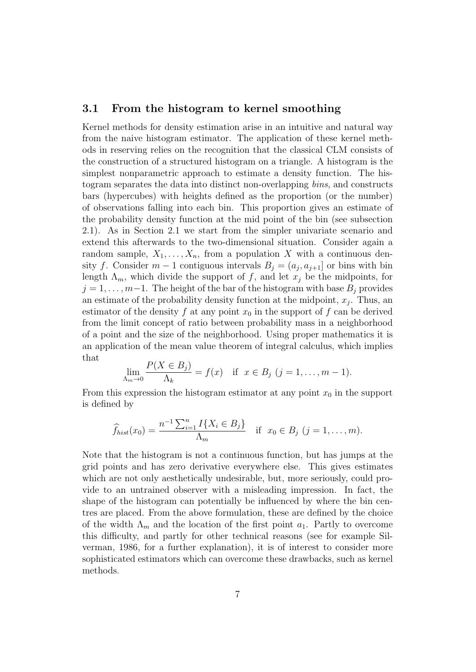#### 3.1 From the histogram to kernel smoothing

Kernel methods for density estimation arise in an intuitive and natural way from the naive histogram estimator. The application of these kernel methods in reserving relies on the recognition that the classical CLM consists of the construction of a structured histogram on a triangle. A histogram is the simplest nonparametric approach to estimate a density function. The histogram separates the data into distinct non-overlapping bins, and constructs bars (hypercubes) with heights defined as the proportion (or the number) of observations falling into each bin. This proportion gives an estimate of the probability density function at the mid point of the bin (see subsection 2.1). As in Section 2.1 we start from the simpler univariate scenario and extend this afterwards to the two-dimensional situation. Consider again a random sample,  $X_1, \ldots, X_n$ , from a population X with a continuous density f. Consider  $m-1$  contiguous intervals  $B_j = (a_j, a_{j+1}]$  or bins with bin length  $\Lambda_m$ , which divide the support of f, and let  $x_j$  be the midpoints, for  $j = 1, \ldots, m-1$ . The height of the bar of the histogram with base  $B_j$  provides an estimate of the probability density function at the midpoint,  $x_j$ . Thus, an estimator of the density f at any point  $x_0$  in the support of f can be derived from the limit concept of ratio between probability mass in a neighborhood of a point and the size of the neighborhood. Using proper mathematics it is an application of the mean value theorem of integral calculus, which implies that

$$
\lim_{\Lambda_m\to 0}\frac{P(X\in B_j)}{\Lambda_k}=f(x)\quad \text{if}\ \ x\in B_j\ (j=1,\ldots,m-1).
$$

From this expression the histogram estimator at any point  $x_0$  in the support is defined by

$$
\widehat{f}_{hist}(x_0) = \frac{n^{-1} \sum_{i=1}^{n} I\{X_i \in B_j\}}{\Lambda_m} \quad \text{if} \ \ x_0 \in B_j \ (j = 1, \dots, m).
$$

Note that the histogram is not a continuous function, but has jumps at the grid points and has zero derivative everywhere else. This gives estimates which are not only aesthetically undesirable, but, more seriously, could provide to an untrained observer with a misleading impression. In fact, the shape of the histogram can potentially be influenced by where the bin centres are placed. From the above formulation, these are defined by the choice of the width  $\Lambda_m$  and the location of the first point  $a_1$ . Partly to overcome this difficulty, and partly for other technical reasons (see for example Silverman, 1986, for a further explanation), it is of interest to consider more sophisticated estimators which can overcome these drawbacks, such as kernel methods.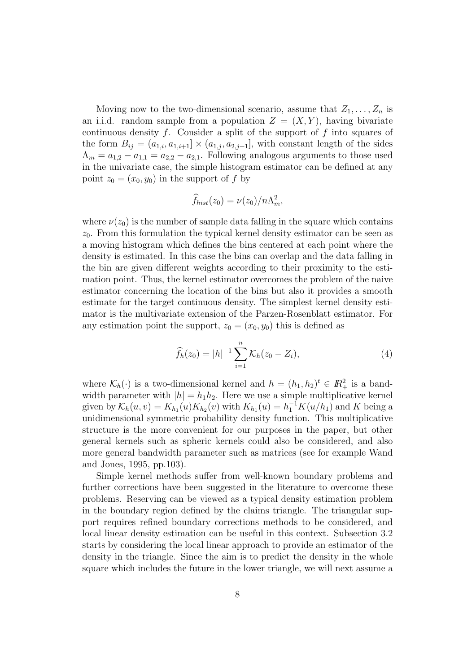Moving now to the two-dimensional scenario, assume that  $Z_1, \ldots, Z_n$  is an i.i.d. random sample from a population  $Z = (X, Y)$ , having bivariate continuous density f. Consider a split of the support of f into squares of the form  $B_{ij} = (a_{1,i}, a_{1,i+1}] \times (a_{1,j}, a_{2,j+1}]$ , with constant length of the sides  $\Lambda_m = a_{1,2} - a_{1,1} = a_{2,2} - a_{2,1}$ . Following analogous arguments to those used in the univariate case, the simple histogram estimator can be defined at any point  $z_0 = (x_0, y_0)$  in the support of f by

$$
\widehat{f}_{hist}(z_0)=\nu(z_0)/n\Lambda_m^2,
$$

where  $\nu(z_0)$  is the number of sample data falling in the square which contains  $z<sub>0</sub>$ . From this formulation the typical kernel density estimator can be seen as a moving histogram which defines the bins centered at each point where the density is estimated. In this case the bins can overlap and the data falling in the bin are given different weights according to their proximity to the estimation point. Thus, the kernel estimator overcomes the problem of the naive estimator concerning the location of the bins but also it provides a smooth estimate for the target continuous density. The simplest kernel density estimator is the multivariate extension of the Parzen-Rosenblatt estimator. For any estimation point the support,  $z_0 = (x_0, y_0)$  this is defined as

$$
\widehat{f}_h(z_0) = |h|^{-1} \sum_{i=1}^n \mathcal{K}_h(z_0 - Z_i), \tag{4}
$$

where  $\mathcal{K}_h(\cdot)$  is a two-dimensional kernel and  $h = (h_1, h_2)^t \in \mathbb{R}^2_+$  is a bandwidth parameter with  $|h| = h_1 h_2$ . Here we use a simple multiplicative kernel given by  $\mathcal{K}_h(u, v) = K_{h_1}(u) K_{h_2}(v)$  with  $K_{h_1}(u) = h_1^{-1} K(u/h_1)$  and K being a unidimensional symmetric probability density function. This multiplicative structure is the more convenient for our purposes in the paper, but other general kernels such as spheric kernels could also be considered, and also more general bandwidth parameter such as matrices (see for example Wand and Jones, 1995, pp.103).

Simple kernel methods suffer from well-known boundary problems and further corrections have been suggested in the literature to overcome these problems. Reserving can be viewed as a typical density estimation problem in the boundary region defined by the claims triangle. The triangular support requires refined boundary corrections methods to be considered, and local linear density estimation can be useful in this context. Subsection 3.2 starts by considering the local linear approach to provide an estimator of the density in the triangle. Since the aim is to predict the density in the whole square which includes the future in the lower triangle, we will next assume a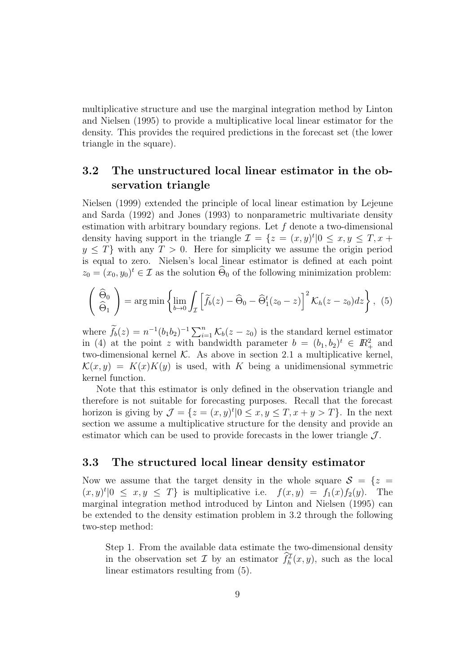multiplicative structure and use the marginal integration method by Linton and Nielsen (1995) to provide a multiplicative local linear estimator for the density. This provides the required predictions in the forecast set (the lower triangle in the square).

### 3.2 The unstructured local linear estimator in the observation triangle

Nielsen (1999) extended the principle of local linear estimation by Lejeune and Sarda (1992) and Jones (1993) to nonparametric multivariate density estimation with arbitrary boundary regions. Let  $f$  denote a two-dimensional density having support in the triangle  $\mathcal{I} = \{z = (x, y)^t | 0 \le x, y \le T, x +$  $y \leq T$  with any  $T > 0$ . Here for simplicity we assume the origin period is equal to zero. Nielsen's local linear estimator is defined at each point  $z_0 = (x_0, y_0)^t \in \mathcal{I}$  as the solution  $\Theta_0$  of the following minimization problem:

$$
\begin{pmatrix}\n\widehat{\Theta}_0 \\
\widehat{\Theta}_1\n\end{pmatrix} = \arg\min \left\{ \lim_{b \to 0} \int_{\mathcal{I}} \left[ \widetilde{f}_b(z) - \widehat{\Theta}_0 - \widehat{\Theta}_1^t(z_0 - z) \right]^2 \mathcal{K}_h(z - z_0) dz \right\}, \tag{5}
$$

where  $\widetilde{f}_b(z) = n^{-1} (b_1 b_2)^{-1} \sum_{i=1}^n \mathcal{K}_b(z - z_0)$  is the standard kernel estimator in (4) at the point z with bandwidth parameter  $b = (b_1, b_2)^t \in \mathbb{R}^2_+$  and two-dimensional kernel  $K$ . As above in section 2.1 a multiplicative kernel,  $\mathcal{K}(x, y) = K(x)K(y)$  is used, with K being a unidimensional symmetric kernel function.

Note that this estimator is only defined in the observation triangle and therefore is not suitable for forecasting purposes. Recall that the forecast horizon is giving by  $\mathcal{J} = \{z = (x, y)^t | 0 \le x, y \le T, x + y > T\}$ . In the next section we assume a multiplicative structure for the density and provide an estimator which can be used to provide forecasts in the lower triangle  $J$ .

#### 3.3 The structured local linear density estimator

Now we assume that the target density in the whole square  $S = \{z =$  $(x, y)^t | 0 \le x, y \le T$  is multiplicative i.e.  $f(x, y) = f_1(x) f_2(y)$ . The marginal integration method introduced by Linton and Nielsen (1995) can be extended to the density estimation problem in 3.2 through the following two-step method:

Step 1. From the available data estimate the two-dimensional density in the observation set  $\mathcal I$  by an estimator  $\tilde{f}_h^{\mathcal I}(x,y)$ , such as the local linear estimators resulting from (5).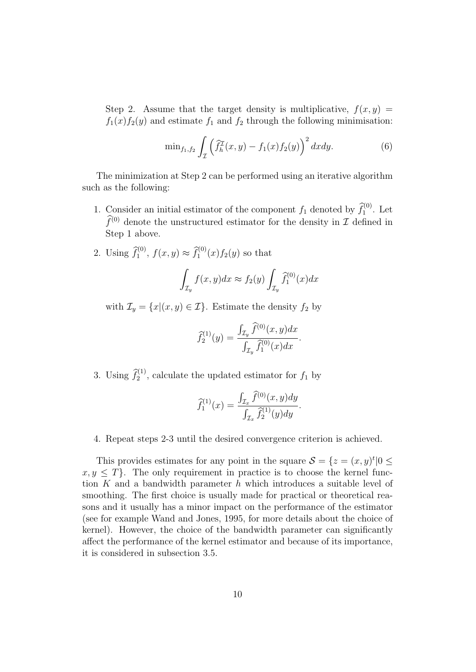Step 2. Assume that the target density is multiplicative,  $f(x, y) =$  $f_1(x)f_2(y)$  and estimate  $f_1$  and  $f_2$  through the following minimisation:

$$
\min_{f_1, f_2} \int_{\mathcal{I}} \left( \widehat{f}_h^{\mathcal{I}}(x, y) - f_1(x) f_2(y) \right)^2 dx dy.
$$
 (6)

The minimization at Step 2 can be performed using an iterative algorithm such as the following:

- 1. Consider an initial estimator of the component  $f_1$  denoted by  $\widehat{f}_1^{(0)}$ . Let  $\widehat{f}^{(0)}$  denote the unstructured estimator for the density in  $\mathcal I$  defined in Step 1 above.
- 2. Using  $\hat{f}_1^{(0)}$ ,  $f(x, y) \approx \hat{f}_1^{(0)}(x) f_2(y)$  so that

$$
\int_{\mathcal{I}_y} f(x, y) dx \approx f_2(y) \int_{\mathcal{I}_y} \widehat{f}_1^{(0)}(x) dx
$$

with  $\mathcal{I}_y = \{x | (x, y) \in \mathcal{I}\}\.$  Estimate the density  $f_2$  by

$$
\widehat{f}_2^{(1)}(y) = \frac{\int_{\mathcal{I}_y} f^{(0)}(x, y) dx}{\int_{\mathcal{I}_y} \widehat{f}_1^{(0)}(x) dx}.
$$

3. Using  $\widehat{f}_2^{(1)}$ , calculate the updated estimator for  $f_1$  by

$$
\widehat{f}_1^{(1)}(x) = \frac{\int_{\mathcal{I}_x} \widehat{f}^{(0)}(x, y) dy}{\int_{\mathcal{I}_x} \widehat{f}_2^{(1)}(y) dy}.
$$

4. Repeat steps 2-3 until the desired convergence criterion is achieved.

This provides estimates for any point in the square  $\mathcal{S} = \{z = (x, y)^t | 0 \leq \mathcal{S} \}$  $x, y \leq T$ . The only requirement in practice is to choose the kernel function  $K$  and a bandwidth parameter  $h$  which introduces a suitable level of smoothing. The first choice is usually made for practical or theoretical reasons and it usually has a minor impact on the performance of the estimator (see for example Wand and Jones, 1995, for more details about the choice of kernel). However, the choice of the bandwidth parameter can significantly affect the performance of the kernel estimator and because of its importance, it is considered in subsection 3.5.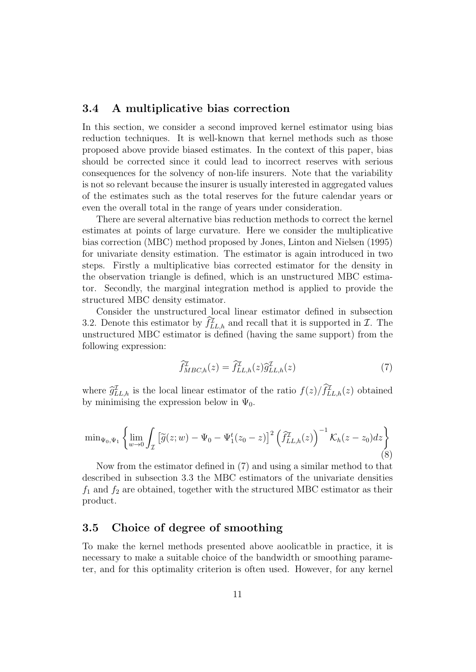#### 3.4 A multiplicative bias correction

In this section, we consider a second improved kernel estimator using bias reduction techniques. It is well-known that kernel methods such as those proposed above provide biased estimates. In the context of this paper, bias should be corrected since it could lead to incorrect reserves with serious consequences for the solvency of non-life insurers. Note that the variability is not so relevant because the insurer is usually interested in aggregated values of the estimates such as the total reserves for the future calendar years or even the overall total in the range of years under consideration.

There are several alternative bias reduction methods to correct the kernel estimates at points of large curvature. Here we consider the multiplicative bias correction (MBC) method proposed by Jones, Linton and Nielsen (1995) for univariate density estimation. The estimator is again introduced in two steps. Firstly a multiplicative bias corrected estimator for the density in the observation triangle is defined, which is an unstructured MBC estimator. Secondly, the marginal integration method is applied to provide the structured MBC density estimator.

Consider the unstructured local linear estimator defined in subsection 3.2. Denote this estimator by  $f_{LL,h}^{\mathcal{I}}$  and recall that it is supported in  $\mathcal{I}$ . The unstructured MBC estimator is defined (having the same support) from the following expression:

$$
\widehat{f}_{MBC,h}^{\mathcal{I}}(z) = \widehat{f}_{LL,h}^{\mathcal{I}}(z)\widehat{g}_{LL,h}^{\mathcal{I}}(z)
$$
\n(7)

where  $\hat{g}_{LL,h}^{\mathcal{I}}$  is the local linear estimator of the ratio  $f(z)/\hat{f}_{LL,h}^{\mathcal{I}}(z)$  obtained<br>by minimising the expression below in  $\Psi$ . by minimising the expression below in  $\Psi_0$ .

$$
\min_{\Psi_0, \Psi_1} \left\{ \lim_{w \to 0} \int_{\mathcal{I}} \left[ \widetilde{g}(z; w) - \Psi_0 - \Psi_1^t(z_0 - z) \right]^2 \left( \widehat{f}_{LL, h}^{\mathcal{I}}(z) \right)^{-1} \mathcal{K}_h(z - z_0) dz \right\} \tag{8}
$$

Now from the estimator defined in (7) and using a similar method to that described in subsection 3.3 the MBC estimators of the univariate densities  $f_1$  and  $f_2$  are obtained, together with the structured MBC estimator as their product.

#### 3.5 Choice of degree of smoothing

To make the kernel methods presented above aoolicatble in practice, it is necessary to make a suitable choice of the bandwidth or smoothing parameter, and for this optimality criterion is often used. However, for any kernel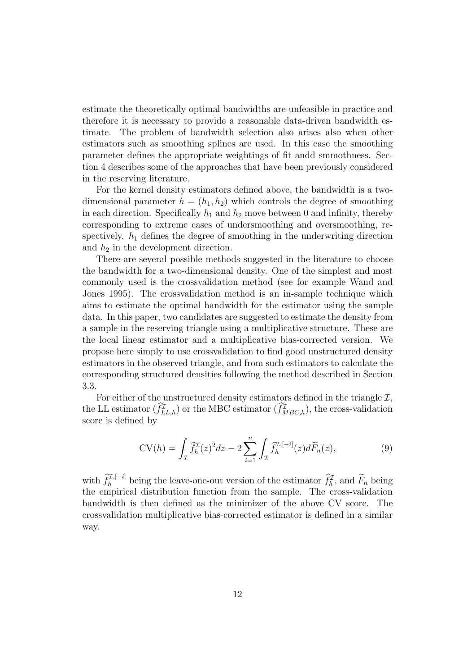estimate the theoretically optimal bandwidths are unfeasible in practice and therefore it is necessary to provide a reasonable data-driven bandwidth estimate. The problem of bandwidth selection also arises also when other estimators such as smoothing splines are used. In this case the smoothing parameter defines the appropriate weightings of fit andd smmothness. Section 4 describes some of the approaches that have been previously considered in the reserving literature.

For the kernel density estimators defined above, the bandwidth is a twodimensional parameter  $h = (h_1, h_2)$  which controls the degree of smoothing in each direction. Specifically  $h_1$  and  $h_2$  move between 0 and infinity, thereby corresponding to extreme cases of undersmoothing and oversmoothing, respectively.  $h_1$  defines the degree of smoothing in the underwriting direction and  $h_2$  in the development direction.

There are several possible methods suggested in the literature to choose the bandwidth for a two-dimensional density. One of the simplest and most commonly used is the crossvalidation method (see for example Wand and Jones 1995). The crossvalidation method is an in-sample technique which aims to estimate the optimal bandwidth for the estimator using the sample data. In this paper, two candidates are suggested to estimate the density from a sample in the reserving triangle using a multiplicative structure. These are the local linear estimator and a multiplicative bias-corrected version. We propose here simply to use crossvalidation to find good unstructured density estimators in the observed triangle, and from such estimators to calculate the corresponding structured densities following the method described in Section 3.3.

For either of the unstructured density estimators defined in the triangle  $\mathcal{I},$ the LL estimator  $(\hat{f}_{LL,h}^{\mathcal{I}})$  or the MBC estimator  $(\hat{f}_{MBC,h}^{\mathcal{I}})$ , the cross-validation score is defined by

$$
CV(h) = \int_{\mathcal{I}} \widehat{f}_h^{\mathcal{I}}(z)^2 dz - 2 \sum_{i=1}^n \int_{\mathcal{I}} \widehat{f}_h^{\mathcal{I},[-i]}(z) d\widetilde{F}_n(z), \tag{9}
$$

with  $\hat{f}_h^{\mathcal{I},[-i]}$  being the leave-one-out version of the estimator  $\hat{f}_h^{\mathcal{I}},$  and  $\tilde{F}_n$  being the empirical distribution function from the sample. The cross-validation bandwidth is then defined as the minimizer of the above CV score. The crossvalidation multiplicative bias-corrected estimator is defined in a similar way.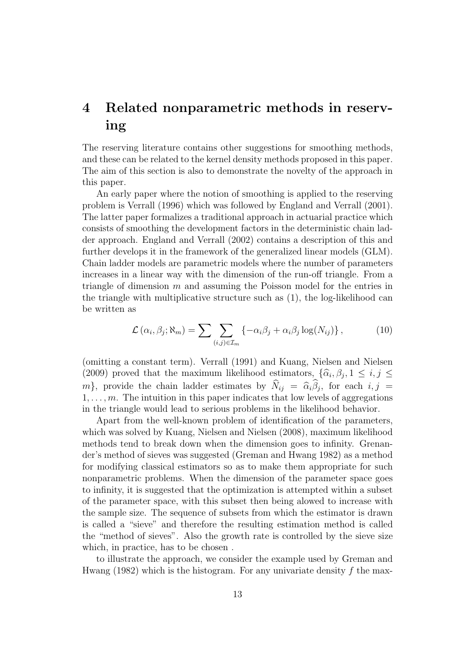# 4 Related nonparametric methods in reserving

The reserving literature contains other suggestions for smoothing methods, and these can be related to the kernel density methods proposed in this paper. The aim of this section is also to demonstrate the novelty of the approach in this paper.

An early paper where the notion of smoothing is applied to the reserving problem is Verrall (1996) which was followed by England and Verrall (2001). The latter paper formalizes a traditional approach in actuarial practice which consists of smoothing the development factors in the deterministic chain ladder approach. England and Verrall (2002) contains a description of this and further develops it in the framework of the generalized linear models (GLM). Chain ladder models are parametric models where the number of parameters increases in a linear way with the dimension of the run-off triangle. From a triangle of dimension  $m$  and assuming the Poisson model for the entries in the triangle with multiplicative structure such as (1), the log-likelihood can be written as

$$
\mathcal{L}(\alpha_i, \beta_j; \aleph_m) = \sum \sum_{(i,j) \in \mathcal{I}_m} \left\{ -\alpha_i \beta_j + \alpha_i \beta_j \log(N_{ij}) \right\},\tag{10}
$$

(omitting a constant term). Verrall (1991) and Kuang, Nielsen and Nielsen (2009) proved that the maximum likelihood estimators,  $\{\hat{\alpha}_i, \beta_j, 1 \leq i, j \leq n\}$ m}, provide the chain ladder estimates by  $N_{ij} = \hat{\alpha}_i \beta_j$ , for each  $i, j =$ <br>1 m. The intuition in this paper indicates that low lovels of aggregations  $1, \ldots, m$ . The intuition in this paper indicates that low levels of aggregations in the triangle would lead to serious problems in the likelihood behavior.

Apart from the well-known problem of identification of the parameters, which was solved by Kuang, Nielsen and Nielsen (2008), maximum likelihood methods tend to break down when the dimension goes to infinity. Grenander's method of sieves was suggested (Greman and Hwang 1982) as a method for modifying classical estimators so as to make them appropriate for such nonparametric problems. When the dimension of the parameter space goes to infinity, it is suggested that the optimization is attempted within a subset of the parameter space, with this subset then being alowed to increase with the sample size. The sequence of subsets from which the estimator is drawn is called a "sieve" and therefore the resulting estimation method is called the "method of sieves". Also the growth rate is controlled by the sieve size which, in practice, has to be chosen .

to illustrate the approach, we consider the example used by Greman and Hwang (1982) which is the histogram. For any univariate density  $f$  the max-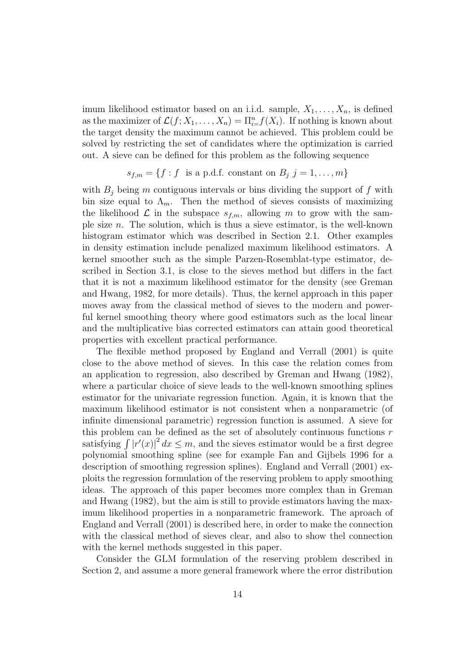imum likelihood estimator based on an i.i.d. sample,  $X_1, \ldots, X_n$ , is defined as the maximizer of  $\mathcal{L}(f; X_1, \ldots, X_n) = \prod_{i=1}^n f(X_i)$ . If nothing is known about the target density the maximum cannot be achieved. This problem could be solved by restricting the set of candidates where the optimization is carried out. A sieve can be defined for this problem as the following sequence

$$
s_{f,m} = \{f : f \text{ is a p.d.f. constant on } B_j \ j = 1, \dots, m\}
$$

with  $B_i$  being m contiguous intervals or bins dividing the support of f with bin size equal to  $\Lambda_m$ . Then the method of sieves consists of maximizing the likelihood  $\mathcal L$  in the subspace  $s_{f,m}$ , allowing m to grow with the sample size  $n$ . The solution, which is thus a sieve estimator, is the well-known histogram estimator which was described in Section 2.1. Other examples in density estimation include penalized maximum likelihood estimators. A kernel smoother such as the simple Parzen-Rosemblat-type estimator, described in Section 3.1, is close to the sieves method but differs in the fact that it is not a maximum likelihood estimator for the density (see Greman and Hwang, 1982, for more details). Thus, the kernel approach in this paper moves away from the classical method of sieves to the modern and powerful kernel smoothing theory where good estimators such as the local linear and the multiplicative bias corrected estimators can attain good theoretical properties with excellent practical performance.

The flexible method proposed by England and Verrall (2001) is quite close to the above method of sieves. In this case the relation comes from an application to regression, also described by Greman and Hwang (1982), where a particular choice of sieve leads to the well-known smoothing splines estimator for the univariate regression function. Again, it is known that the maximum likelihood estimator is not consistent when a nonparametric (of infinite dimensional parametric) regression function is assumed. A sieve for this problem can be defined as the set of absolutely continuous functions  $r$ satisfying  $\int |r'(x)|^2 dx \leq m$ , and the sieves estimator would be a first degree polynomial smoothing spline (see for example Fan and Gijbels 1996 for a description of smoothing regression splines). England and Verrall (2001) exploits the regression formulation of the reserving problem to apply smoothing ideas. The approach of this paper becomes more complex than in Greman and Hwang (1982), but the aim is still to provide estimators having the maximum likelihood properties in a nonparametric framework. The aproach of England and Verrall (2001) is described here, in order to make the connection with the classical method of sieves clear, and also to show thel connection with the kernel methods suggested in this paper.

Consider the GLM formulation of the reserving problem described in Section 2, and assume a more general framework where the error distribution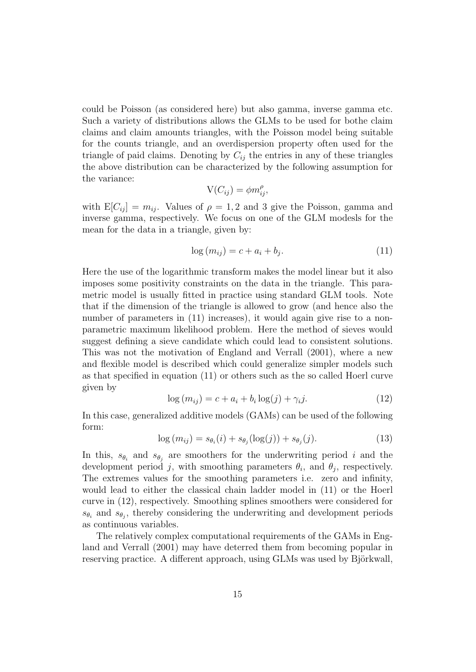could be Poisson (as considered here) but also gamma, inverse gamma etc. Such a variety of distributions allows the GLMs to be used for bothe claim claims and claim amounts triangles, with the Poisson model being suitable for the counts triangle, and an overdispersion property often used for the triangle of paid claims. Denoting by  $C_{ij}$  the entries in any of these triangles the above distribution can be characterized by the following assumption for the variance:

$$
V(C_{ij}) = \phi m_{ij}^{\rho},
$$

with  $E[C_{ij}] = m_{ij}$ . Values of  $\rho = 1, 2$  and 3 give the Poisson, gamma and inverse gamma, respectively. We focus on one of the GLM modesls for the mean for the data in a triangle, given by:

$$
\log(m_{ij}) = c + a_i + b_j. \tag{11}
$$

Here the use of the logarithmic transform makes the model linear but it also imposes some positivity constraints on the data in the triangle. This parametric model is usually fitted in practice using standard GLM tools. Note that if the dimension of the triangle is allowed to grow (and hence also the number of parameters in  $(11)$  increases), it would again give rise to a nonparametric maximum likelihood problem. Here the method of sieves would suggest defining a sieve candidate which could lead to consistent solutions. This was not the motivation of England and Verrall (2001), where a new and flexible model is described which could generalize simpler models such as that specified in equation (11) or others such as the so called Hoerl curve given by

$$
\log(m_{ij}) = c + a_i + b_i \log(j) + \gamma_i j. \tag{12}
$$

In this case, generalized additive models (GAMs) can be used of the following form:

$$
\log(m_{ij}) = s_{\theta_i}(i) + s_{\theta_j}(\log(j)) + s_{\theta_j}(j). \tag{13}
$$

In this,  $s_{\theta_i}$  and  $s_{\theta_j}$  are smoothers for the underwriting period i and the development period j, with smoothing parameters  $\theta_i$ , and  $\theta_j$ , respectively. The extremes values for the smoothing parameters i.e. zero and infinity, would lead to either the classical chain ladder model in (11) or the Hoerl curve in (12), respectively. Smoothing splines smoothers were considered for  $s_{\theta_i}$  and  $s_{\theta_j}$ , thereby considering the underwriting and development periods as continuous variables.

The relatively complex computational requirements of the GAMs in England and Verrall (2001) may have deterred them from becoming popular in reserving practice. A different approach, using GLMs was used by Björkwall,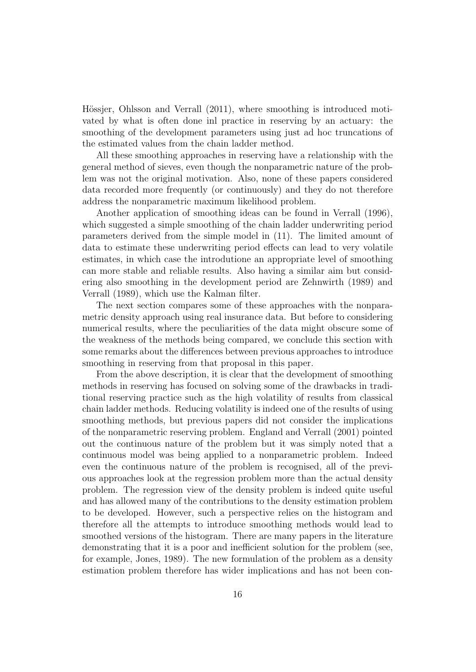Hössjer, Ohlsson and Verrall  $(2011)$ , where smoothing is introduced motivated by what is often done inl practice in reserving by an actuary: the smoothing of the development parameters using just ad hoc truncations of the estimated values from the chain ladder method.

All these smoothing approaches in reserving have a relationship with the general method of sieves, even though the nonparametric nature of the problem was not the original motivation. Also, none of these papers considered data recorded more frequently (or continuously) and they do not therefore address the nonparametric maximum likelihood problem.

Another application of smoothing ideas can be found in Verrall (1996), which suggested a simple smoothing of the chain ladder underwriting period parameters derived from the simple model in (11). The limited amount of data to estimate these underwriting period effects can lead to very volatile estimates, in which case the introdutione an appropriate level of smoothing can more stable and reliable results. Also having a similar aim but considering also smoothing in the development period are Zehnwirth (1989) and Verrall (1989), which use the Kalman filter.

The next section compares some of these approaches with the nonparametric density approach using real insurance data. But before to considering numerical results, where the peculiarities of the data might obscure some of the weakness of the methods being compared, we conclude this section with some remarks about the differences between previous approaches to introduce smoothing in reserving from that proposal in this paper.

From the above description, it is clear that the development of smoothing methods in reserving has focused on solving some of the drawbacks in traditional reserving practice such as the high volatility of results from classical chain ladder methods. Reducing volatility is indeed one of the results of using smoothing methods, but previous papers did not consider the implications of the nonparametric reserving problem. England and Verrall (2001) pointed out the continuous nature of the problem but it was simply noted that a continuous model was being applied to a nonparametric problem. Indeed even the continuous nature of the problem is recognised, all of the previous approaches look at the regression problem more than the actual density problem. The regression view of the density problem is indeed quite useful and has allowed many of the contributions to the density estimation problem to be developed. However, such a perspective relies on the histogram and therefore all the attempts to introduce smoothing methods would lead to smoothed versions of the histogram. There are many papers in the literature demonstrating that it is a poor and inefficient solution for the problem (see, for example, Jones, 1989). The new formulation of the problem as a density estimation problem therefore has wider implications and has not been con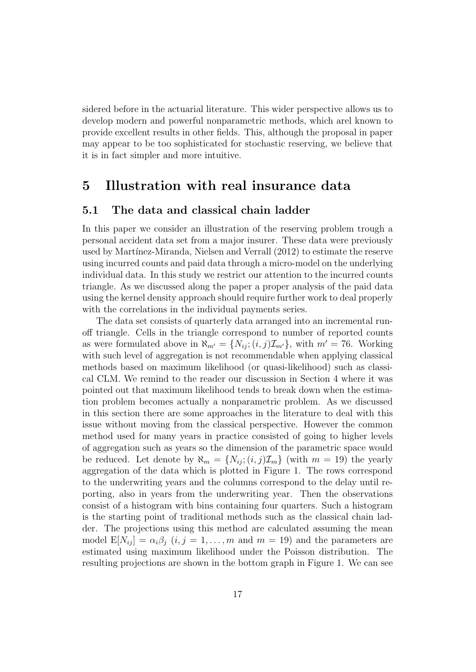sidered before in the actuarial literature. This wider perspective allows us to develop modern and powerful nonparametric methods, which arel known to provide excellent results in other fields. This, although the proposal in paper may appear to be too sophisticated for stochastic reserving, we believe that it is in fact simpler and more intuitive.

# 5 Illustration with real insurance data

#### 5.1 The data and classical chain ladder

In this paper we consider an illustration of the reserving problem trough a personal accident data set from a major insurer. These data were previously used by Martínez-Miranda, Nielsen and Verrall (2012) to estimate the reserve using incurred counts and paid data through a micro-model on the underlying individual data. In this study we restrict our attention to the incurred counts triangle. As we discussed along the paper a proper analysis of the paid data using the kernel density approach should require further work to deal properly with the correlations in the individual payments series.

The data set consists of quarterly data arranged into an incremental runoff triangle. Cells in the triangle correspond to number of reported counts as were formulated above in  $\aleph_{m'} = \{N_{ij}; (i, j)\mathcal{I}_{m'}\}$ , with  $m' = 76$ . Working with such level of aggregation is not recommendable when applying classical methods based on maximum likelihood (or quasi-likelihood) such as classical CLM. We remind to the reader our discussion in Section 4 where it was pointed out that maximum likelihood tends to break down when the estimation problem becomes actually a nonparametric problem. As we discussed in this section there are some approaches in the literature to deal with this issue without moving from the classical perspective. However the common method used for many years in practice consisted of going to higher levels of aggregation such as years so the dimension of the parametric space would be reduced. Let denote by  $\aleph_m = \{N_{ij}; (i,j)\mathcal{I}_m\}$  (with  $m = 19$ ) the yearly aggregation of the data which is plotted in Figure 1. The rows correspond to the underwriting years and the columns correspond to the delay until reporting, also in years from the underwriting year. Then the observations consist of a histogram with bins containing four quarters. Such a histogram is the starting point of traditional methods such as the classical chain ladder. The projections using this method are calculated assuming the mean model  $E[N_{ij}] = \alpha_i \beta_j$   $(i, j = 1, ..., m$  and  $m = 19$ ) and the parameters are estimated using maximum likelihood under the Poisson distribution. The resulting projections are shown in the bottom graph in Figure 1. We can see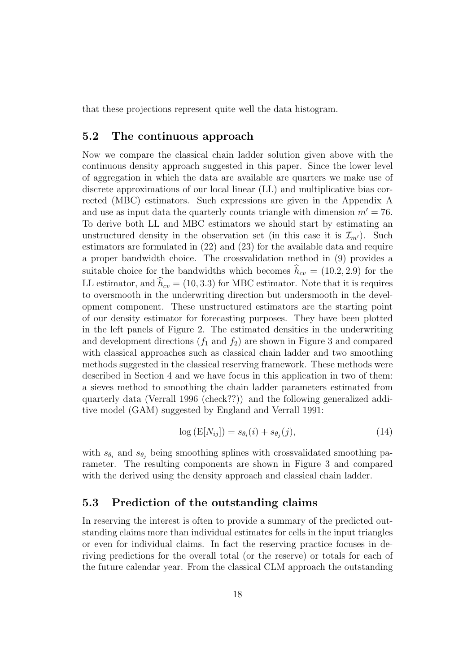that these projections represent quite well the data histogram.

#### 5.2 The continuous approach

Now we compare the classical chain ladder solution given above with the continuous density approach suggested in this paper. Since the lower level of aggregation in which the data are available are quarters we make use of discrete approximations of our local linear (LL) and multiplicative bias corrected (MBC) estimators. Such expressions are given in the Appendix A and use as input data the quarterly counts triangle with dimension  $m' = 76$ . To derive both LL and MBC estimators we should start by estimating an unstructured density in the observation set (in this case it is  $\mathcal{I}_{m'}$ ). Such estimators are formulated in (22) and (23) for the available data and require a proper bandwidth choice. The crossvalidation method in (9) provides a suitable choice for the bandwidths which becomes  $h_{cv} = (10.2, 2.9)$  for the LL estimator, and  $\hat{h}_{cv} = (10, 3.3)$  for MBC estimator. Note that it is requires to oversmooth in the underwriting direction but undersmooth in the development component. These unstructured estimators are the starting point of our density estimator for forecasting purposes. They have been plotted in the left panels of Figure 2. The estimated densities in the underwriting and development directions  $(f_1 \text{ and } f_2)$  are shown in Figure 3 and compared with classical approaches such as classical chain ladder and two smoothing methods suggested in the classical reserving framework. These methods were described in Section 4 and we have focus in this application in two of them: a sieves method to smoothing the chain ladder parameters estimated from quarterly data (Verrall 1996 (check??)) and the following generalized additive model (GAM) suggested by England and Verrall 1991:

$$
\log\left(\mathcal{E}[N_{ij}]\right) = s_{\theta_i}(i) + s_{\theta_j}(j),\tag{14}
$$

with  $s_{\theta_i}$  and  $s_{\theta_j}$  being smoothing splines with crossvalidated smoothing parameter. The resulting components are shown in Figure 3 and compared with the derived using the density approach and classical chain ladder.

#### 5.3 Prediction of the outstanding claims

In reserving the interest is often to provide a summary of the predicted outstanding claims more than individual estimates for cells in the input triangles or even for individual claims. In fact the reserving practice focuses in deriving predictions for the overall total (or the reserve) or totals for each of the future calendar year. From the classical CLM approach the outstanding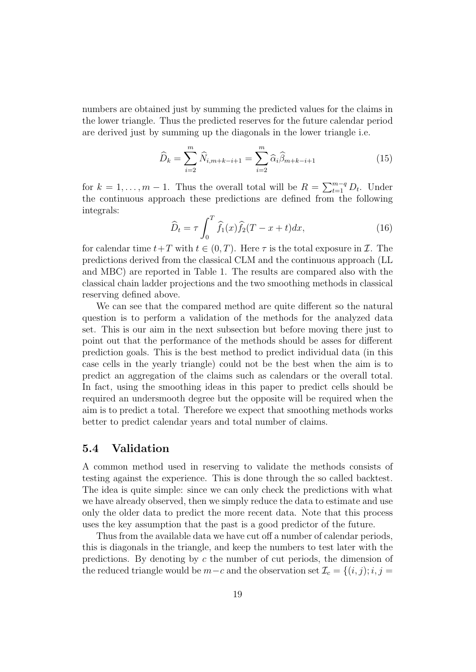numbers are obtained just by summing the predicted values for the claims in the lower triangle. Thus the predicted reserves for the future calendar period are derived just by summing up the diagonals in the lower triangle i.e.

$$
\widehat{D}_k = \sum_{i=2}^m \widehat{N}_{i,m+k-i+1} = \sum_{i=2}^m \widehat{\alpha}_i \widehat{\beta}_{m+k-i+1}
$$
\n(15)

for  $k = 1, ..., m - 1$ . Thus the overall total will be  $R = \sum_{t=1}^{m-q} D_t$ . Under the continuous approach these predictions are defined from the following integrals:

$$
\widehat{D}_t = \tau \int_0^T \widehat{f}_1(x) \widehat{f}_2(T - x + t) dx, \qquad (16)
$$

for calendar time  $t+T$  with  $t \in (0, T)$ . Here  $\tau$  is the total exposure in  $\mathcal{I}$ . The predictions derived from the classical CLM and the continuous approach (LL and MBC) are reported in Table 1. The results are compared also with the classical chain ladder projections and the two smoothing methods in classical reserving defined above.

We can see that the compared method are quite different so the natural question is to perform a validation of the methods for the analyzed data set. This is our aim in the next subsection but before moving there just to point out that the performance of the methods should be asses for different prediction goals. This is the best method to predict individual data (in this case cells in the yearly triangle) could not be the best when the aim is to predict an aggregation of the claims such as calendars or the overall total. In fact, using the smoothing ideas in this paper to predict cells should be required an undersmooth degree but the opposite will be required when the aim is to predict a total. Therefore we expect that smoothing methods works better to predict calendar years and total number of claims.

#### 5.4 Validation

A common method used in reserving to validate the methods consists of testing against the experience. This is done through the so called backtest. The idea is quite simple: since we can only check the predictions with what we have already observed, then we simply reduce the data to estimate and use only the older data to predict the more recent data. Note that this process uses the key assumption that the past is a good predictor of the future.

Thus from the available data we have cut off a number of calendar periods, this is diagonals in the triangle, and keep the numbers to test later with the predictions. By denoting by c the number of cut periods, the dimension of the reduced triangle would be  $m-c$  and the observation set  $\mathcal{I}_c = \{(i,j); i,j = 1\}$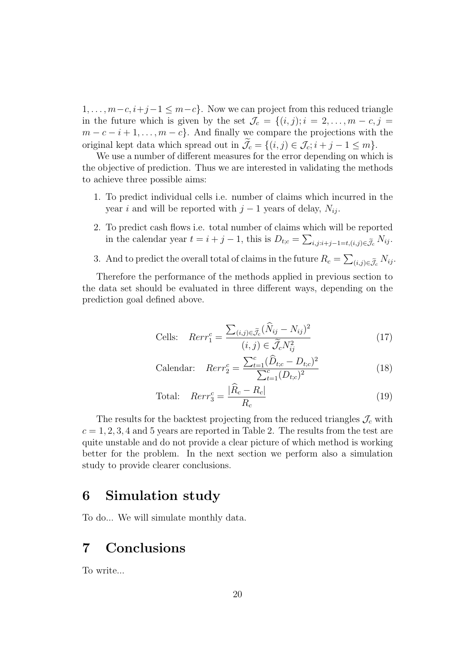$1, \ldots, m-c, i+j-1 \leq m-c$ . Now we can project from this reduced triangle in the future which is given by the set  $\mathcal{J}_c = \{(i, j); i = 2, \ldots, m - c, j =$  $m - c - i + 1, \ldots, m - c$ . And finally we compare the projections with the original kept data which spread out in  $\mathcal{J}_c = \{(i, j) \in \mathcal{J}_c; i + j - 1 \leq m\}.$ 

We use a number of different measures for the error depending on which is the objective of prediction. Thus we are interested in validating the methods to achieve three possible aims:

- 1. To predict individual cells i.e. number of claims which incurred in the year i and will be reported with  $j-1$  years of delay,  $N_{ij}$ .
- 2. To predict cash flows i.e. total number of claims which will be reported in the calendar year  $t = i + j - 1$ , this is  $D_{t;c} = \sum_{i,j:i+j-1=t, (i,j)\in \tilde{J}_c} N_{ij}$ .
- 3. And to predict the overall total of claims in the future  $R_c = \sum_{(i,j) \in \widetilde{\mathcal{J}}_c} N_{ij}$ .

Therefore the performance of the methods applied in previous section to the data set should be evaluated in three different ways, depending on the prediction goal defined above.

$$
\text{Cells: } \quad \text{Rerr}_1^c = \frac{\sum_{(i,j)\in \tilde{\mathcal{J}}_c} (\hat{N}_{ij} - N_{ij})^2}{(i,j) \in \tilde{\mathcal{J}}_c N_{ij}^2} \tag{17}
$$

$$
\text{Calendar:} \quad \text{Rerr}_2^c = \frac{\sum_{t=1}^c (\widehat{D}_{t;c} - D_{t;c})^2}{\sum_{t=1}^c (D_{t;c})^2} \tag{18}
$$

Total: 
$$
Rerr_3^c = \frac{|\overline{R}_c - R_c|}{R_c}
$$
 (19)

The results for the backtest projecting from the reduced triangles  $\mathcal{J}_c$  with  $c = 1, 2, 3, 4$  and 5 years are reported in Table 2. The results from the test are quite unstable and do not provide a clear picture of which method is working better for the problem. In the next section we perform also a simulation study to provide clearer conclusions.

## 6 Simulation study

To do... We will simulate monthly data.

# 7 Conclusions

To write...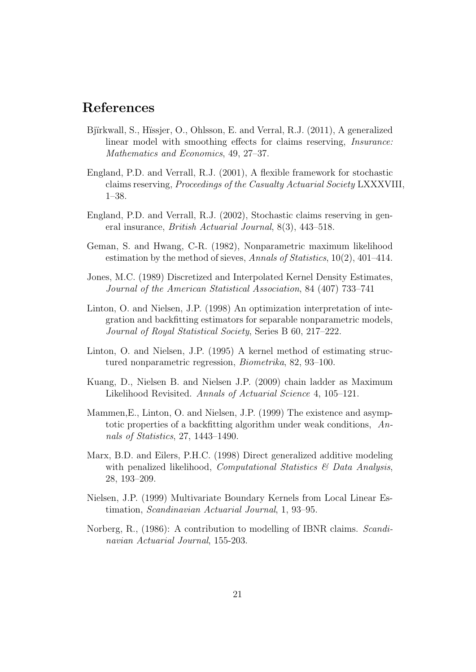# References

- Bjürkwall, S., Hïssjer, O., Ohlsson, E. and Verral, R.J. (2011), A generalized linear model with smoothing effects for claims reserving, Insurance: Mathematics and Economics, 49, 27–37.
- England, P.D. and Verrall, R.J. (2001), A flexible framework for stochastic claims reserving, Proceedings of the Casualty Actuarial Society LXXXVIII, 1–38.
- England, P.D. and Verrall, R.J. (2002), Stochastic claims reserving in general insurance, British Actuarial Journal, 8(3), 443–518.
- Geman, S. and Hwang, C-R. (1982), Nonparametric maximum likelihood estimation by the method of sieves, Annals of Statistics, 10(2), 401–414.
- Jones, M.C. (1989) Discretized and Interpolated Kernel Density Estimates, Journal of the American Statistical Association, 84 (407) 733–741
- Linton, O. and Nielsen, J.P. (1998) An optimization interpretation of integration and backfitting estimators for separable nonparametric models, Journal of Royal Statistical Society, Series B 60, 217–222.
- Linton, O. and Nielsen, J.P. (1995) A kernel method of estimating structured nonparametric regression, Biometrika, 82, 93–100.
- Kuang, D., Nielsen B. and Nielsen J.P. (2009) chain ladder as Maximum Likelihood Revisited. Annals of Actuarial Science 4, 105–121.
- Mammen,E., Linton, O. and Nielsen, J.P. (1999) The existence and asymptotic properties of a backfitting algorithm under weak conditions, Annals of Statistics, 27, 1443–1490.
- Marx, B.D. and Eilers, P.H.C. (1998) Direct generalized additive modeling with penalized likelihood, *Computational Statistics*  $\mathcal{C}$  Data Analysis, 28, 193–209.
- Nielsen, J.P. (1999) Multivariate Boundary Kernels from Local Linear Estimation, Scandinavian Actuarial Journal, 1, 93–95.
- Norberg, R., (1986): A contribution to modelling of IBNR claims. Scandinavian Actuarial Journal, 155-203.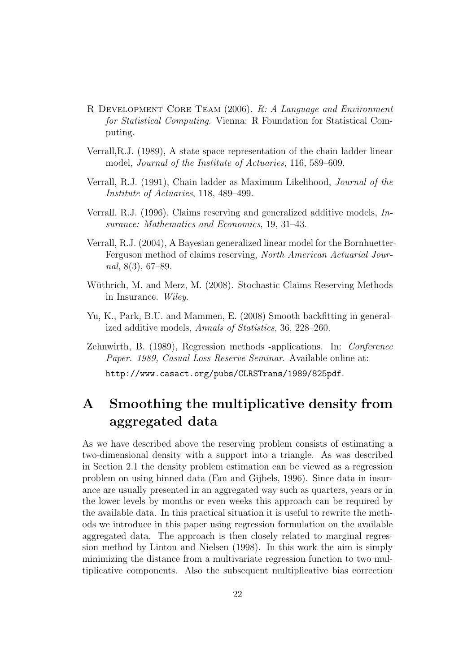- R DEVELOPMENT CORE TEAM (2006). R: A Language and Environment for Statistical Computing. Vienna: R Foundation for Statistical Computing.
- Verrall,R.J. (1989), A state space representation of the chain ladder linear model, Journal of the Institute of Actuaries, 116, 589–609.
- Verrall, R.J. (1991), Chain ladder as Maximum Likelihood, Journal of the Institute of Actuaries, 118, 489–499.
- Verrall, R.J. (1996), Claims reserving and generalized additive models, Insurance: Mathematics and Economics, 19, 31–43.
- Verrall, R.J. (2004), A Bayesian generalized linear model for the Bornhuetter-Ferguson method of claims reserving, North American Actuarial Journal,  $8(3)$ , 67–89.
- Wüthrich, M. and Merz, M. (2008). Stochastic Claims Reserving Methods in Insurance. Wiley.
- Yu, K., Park, B.U. and Mammen, E. (2008) Smooth backfitting in generalized additive models, Annals of Statistics, 36, 228–260.
- Zehnwirth, B. (1989), Regression methods -applications. In: Conference Paper. 1989, Casual Loss Reserve Seminar. Available online at: http://www.casact.org/pubs/CLRSTrans/1989/825pdf.

# A Smoothing the multiplicative density from aggregated data

As we have described above the reserving problem consists of estimating a two-dimensional density with a support into a triangle. As was described in Section 2.1 the density problem estimation can be viewed as a regression problem on using binned data (Fan and Gijbels, 1996). Since data in insurance are usually presented in an aggregated way such as quarters, years or in the lower levels by months or even weeks this approach can be required by the available data. In this practical situation it is useful to rewrite the methods we introduce in this paper using regression formulation on the available aggregated data. The approach is then closely related to marginal regression method by Linton and Nielsen (1998). In this work the aim is simply minimizing the distance from a multivariate regression function to two multiplicative components. Also the subsequent multiplicative bias correction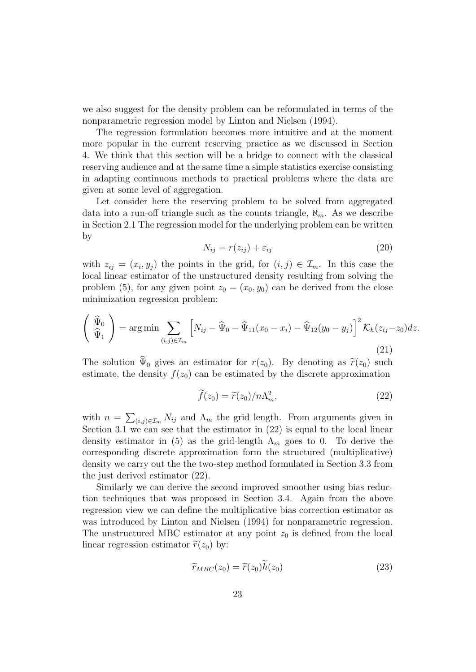we also suggest for the density problem can be reformulated in terms of the nonparametric regression model by Linton and Nielsen (1994).

The regression formulation becomes more intuitive and at the moment more popular in the current reserving practice as we discussed in Section 4. We think that this section will be a bridge to connect with the classical reserving audience and at the same time a simple statistics exercise consisting in adapting continuous methods to practical problems where the data are given at some level of aggregation.

Let consider here the reserving problem to be solved from aggregated data into a run-off triangle such as the counts triangle,  $\aleph_m$ . As we describe in Section 2.1 The regression model for the underlying problem can be written by

$$
N_{ij} = r(z_{ij}) + \varepsilon_{ij} \tag{20}
$$

with  $z_{ij} = (x_i, y_j)$  the points in the grid, for  $(i, j) \in \mathcal{I}_m$ . In this case the local linear estimator of the unstructured density resulting from solving the problem (5), for any given point  $z_0 = (x_0, y_0)$  can be derived from the close minimization regression problem:

$$
\left(\begin{array}{c}\widehat{\Psi}_0\\\widehat{\Psi}_1\end{array}\right) = \arg\min\sum_{(i,j)\in\mathcal{I}_m} \left[N_{ij} - \widehat{\Psi}_0 - \widehat{\Psi}_{11}(x_0 - x_i) - \widehat{\Psi}_{12}(y_0 - y_j)\right]^2 \mathcal{K}_h(z_{ij} - z_0) dz.
$$
\n(21)

The solution  $\widehat{\Psi}_0$  gives an estimator for  $r(z_0)$ . By denoting as  $\widetilde{r}(z_0)$  such estimate, the density  $f(z_0)$  can be estimated by the discrete approximation

$$
\tilde{f}(z_0) = \tilde{r}(z_0) / n\Lambda_m^2,\tag{22}
$$

with  $n = \sum_{(i,j)\in\mathcal{I}_m} N_{ij}$  and  $\Lambda_m$  the grid length. From arguments given in Section 3.1 we can see that the estimator in (22) is equal to the local linear density estimator in (5) as the grid-length  $\Lambda_m$  goes to 0. To derive the corresponding discrete approximation form the structured (multiplicative) density we carry out the the two-step method formulated in Section 3.3 from the just derived estimator (22).

Similarly we can derive the second improved smoother using bias reduction techniques that was proposed in Section 3.4. Again from the above regression view we can define the multiplicative bias correction estimator as was introduced by Linton and Nielsen (1994) for nonparametric regression. The unstructured MBC estimator at any point  $z_0$  is defined from the local linear regression estimator  $\tilde{r}(z_0)$  by:

$$
\widetilde{r}_{MBC}(z_0) = \widetilde{r}(z_0)h(z_0)
$$
\n(23)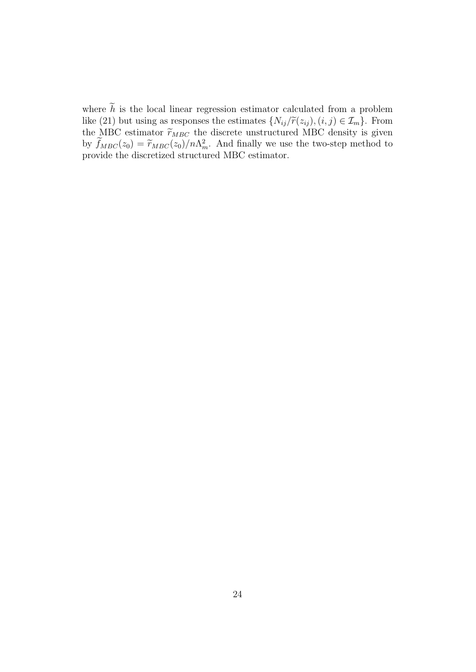where  $\widetilde{h}$  is the local linear regression estimator calculated from a problem like (21) but using as responses the estimates  $\{N_{ij}/\tilde{r}(z_{ij}), (i, j) \in \mathcal{I}_m\}$ . From the MBC estimator  $\widetilde{r}_{MBC}$  the discrete unstructured MBC density is given by  $f_{MBC}(z_0) = \widetilde{r}_{MBC}(z_0)/n\Lambda_m^2$ . And finally we use the two-step method to provide the discretized structured MBC estimator provide the discretized structured MBC estimator.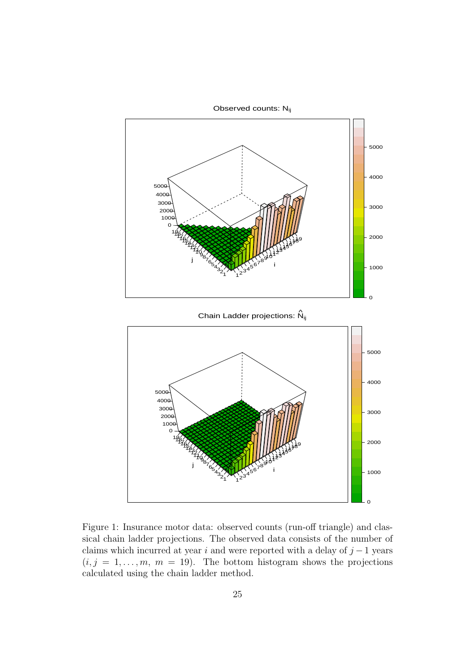

Figure 1: Insurance motor data: observed counts (run-off triangle) and classical chain ladder projections. The observed data consists of the number of claims which incurred at year i and were reported with a delay of  $j - 1$  years  $(i, j = 1, \ldots, m, m = 19)$ . The bottom histogram shows the projections calculated using the chain ladder method.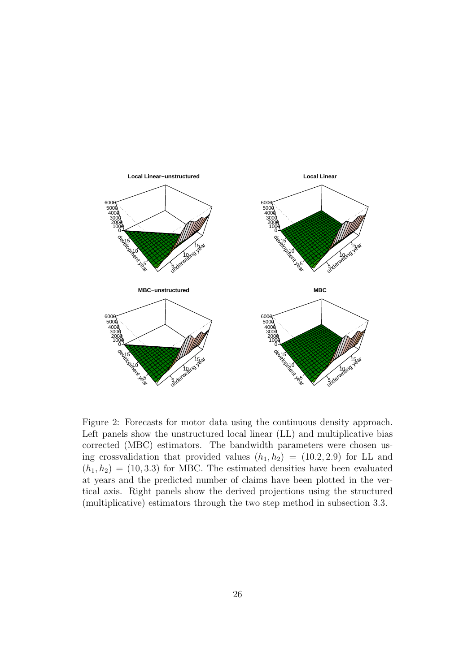

Figure 2: Forecasts for motor data using the continuous density approach. Left panels show the unstructured local linear (LL) and multiplicative bias corrected (MBC) estimators. The bandwidth parameters were chosen using crossvalidation that provided values  $(h_1, h_2) = (10.2, 2.9)$  for LL and  $(h_1, h_2) = (10, 3.3)$  for MBC. The estimated densities have been evaluated at years and the predicted number of claims have been plotted in the vertical axis. Right panels show the derived projections using the structured (multiplicative) estimators through the two step method in subsection 3.3.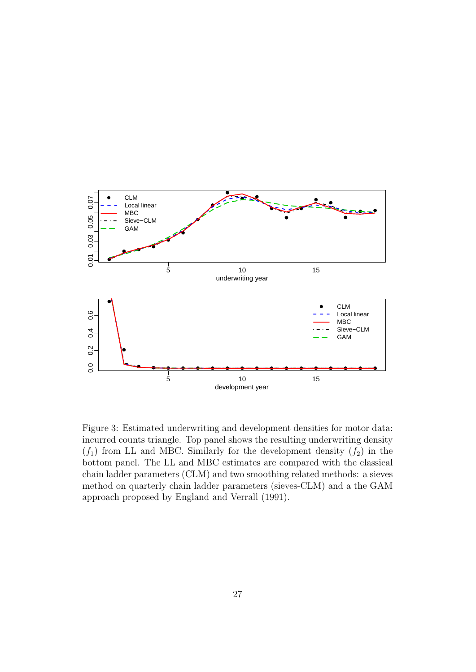

Figure 3: Estimated underwriting and development densities for motor data: incurred counts triangle. Top panel shows the resulting underwriting density  $(f_1)$  from LL and MBC. Similarly for the development density  $(f_2)$  in the bottom panel. The LL and MBC estimates are compared with the classical chain ladder parameters (CLM) and two smoothing related methods: a sieves method on quarterly chain ladder parameters (sieves-CLM) and a the GAM approach proposed by England and Verrall (1991).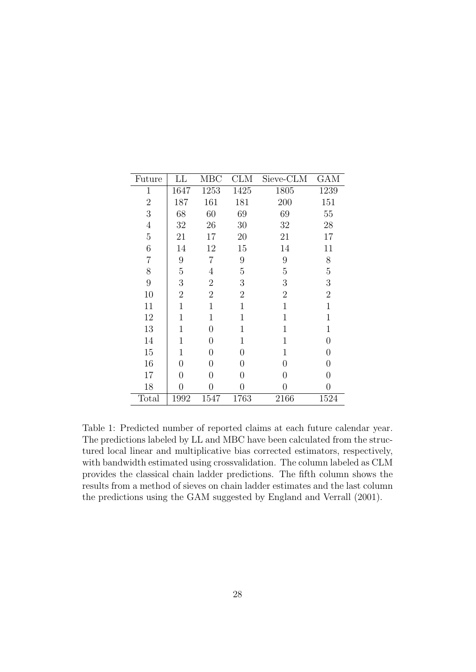| Future         | LL               | $_{\rm MBC}$   | CLM            | Sieve-CLM      | GAM            |
|----------------|------------------|----------------|----------------|----------------|----------------|
| $\mathbf{1}$   | 1647             | 1253           | 1425           | 1805           | 1239           |
| $\overline{2}$ | 187              | 161            | 181            | 200            | 151            |
| 3              | 68               | 60             | 69             | 69             | 55             |
| $\overline{4}$ | 32               | 26             | 30             | 32             | 28             |
| $\overline{5}$ | 21               | 17             | 20             | 21             | 17             |
| $\,6$          | 14               | 12             | 15             | 14             | 11             |
| $\overline{7}$ | 9                | 7              | 9              | 9              | 8              |
| $8\,$          | $\overline{5}$   | 4              | 5              | $\overline{5}$ | $\overline{5}$ |
| $\overline{9}$ | 3                | $\overline{2}$ | 3              | 3              | 3              |
| 10             | $\overline{2}$   | $\overline{2}$ | $\overline{2}$ | $\overline{2}$ | $\overline{2}$ |
| 11             | $\mathbf{1}$     | $\mathbf 1$    | $\mathbf{1}$   | 1              | $\mathbf{1}$   |
| 12             | $\mathbf{1}$     | $\mathbf 1$    | 1              | 1              | $\overline{1}$ |
| 13             | $\mathbf{1}$     | $\overline{0}$ | 1              | $\mathbf{1}$   | $\mathbf{1}$   |
| 14             | $\mathbf 1$      | $\overline{0}$ | $\mathbf{1}$   | 1              | $\overline{0}$ |
| 15             | $\mathbf 1$      | 0              | $\overline{0}$ | 1              | $\overline{0}$ |
| 16             | 0                | $\overline{0}$ | $\overline{0}$ | 0              | $\overline{0}$ |
| 17             | $\boldsymbol{0}$ | $\overline{0}$ | $\overline{0}$ | 0              | $\overline{0}$ |
| 18             | 0                | 0              | 0              | $\overline{0}$ | $\overline{0}$ |
| Total          | 1992             | 1547           | 1763           | 2166           | 1524           |

Table 1: Predicted number of reported claims at each future calendar year. The predictions labeled by LL and MBC have been calculated from the structured local linear and multiplicative bias corrected estimators, respectively, with bandwidth estimated using crossvalidation. The column labeled as CLM provides the classical chain ladder predictions. The fifth column shows the results from a method of sieves on chain ladder estimates and the last column the predictions using the GAM suggested by England and Verrall (2001).